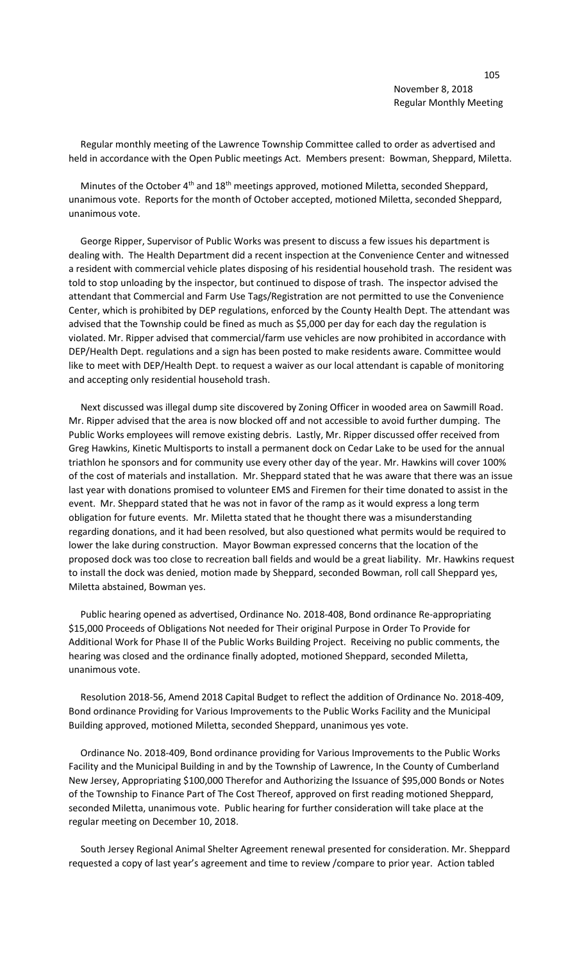Regular monthly meeting of the Lawrence Township Committee called to order as advertised and held in accordance with the Open Public meetings Act. Members present: Bowman, Sheppard, Miletta.

Minutes of the October  $4<sup>th</sup>$  and  $18<sup>th</sup>$  meetings approved, motioned Miletta, seconded Sheppard, unanimous vote. Reports for the month of October accepted, motioned Miletta, seconded Sheppard, unanimous vote.

 George Ripper, Supervisor of Public Works was present to discuss a few issues his department is dealing with. The Health Department did a recent inspection at the Convenience Center and witnessed a resident with commercial vehicle plates disposing of his residential household trash. The resident was told to stop unloading by the inspector, but continued to dispose of trash. The inspector advised the attendant that Commercial and Farm Use Tags/Registration are not permitted to use the Convenience Center, which is prohibited by DEP regulations, enforced by the County Health Dept. The attendant was advised that the Township could be fined as much as \$5,000 per day for each day the regulation is violated. Mr. Ripper advised that commercial/farm use vehicles are now prohibited in accordance with DEP/Health Dept. regulations and a sign has been posted to make residents aware. Committee would like to meet with DEP/Health Dept. to request a waiver as our local attendant is capable of monitoring and accepting only residential household trash.

 Next discussed was illegal dump site discovered by Zoning Officer in wooded area on Sawmill Road. Mr. Ripper advised that the area is now blocked off and not accessible to avoid further dumping. The Public Works employees will remove existing debris. Lastly, Mr. Ripper discussed offer received from Greg Hawkins, Kinetic Multisports to install a permanent dock on Cedar Lake to be used for the annual triathlon he sponsors and for community use every other day of the year. Mr. Hawkins will cover 100% of the cost of materials and installation. Mr. Sheppard stated that he was aware that there was an issue last year with donations promised to volunteer EMS and Firemen for their time donated to assist in the event. Mr. Sheppard stated that he was not in favor of the ramp as it would express a long term obligation for future events. Mr. Miletta stated that he thought there was a misunderstanding regarding donations, and it had been resolved, but also questioned what permits would be required to lower the lake during construction. Mayor Bowman expressed concerns that the location of the proposed dock was too close to recreation ball fields and would be a great liability. Mr. Hawkins request to install the dock was denied, motion made by Sheppard, seconded Bowman, roll call Sheppard yes, Miletta abstained, Bowman yes.

 Public hearing opened as advertised, Ordinance No. 2018-408, Bond ordinance Re-appropriating \$15,000 Proceeds of Obligations Not needed for Their original Purpose in Order To Provide for Additional Work for Phase II of the Public Works Building Project. Receiving no public comments, the hearing was closed and the ordinance finally adopted, motioned Sheppard, seconded Miletta, unanimous vote.

 Resolution 2018-56, Amend 2018 Capital Budget to reflect the addition of Ordinance No. 2018-409, Bond ordinance Providing for Various Improvements to the Public Works Facility and the Municipal Building approved, motioned Miletta, seconded Sheppard, unanimous yes vote.

 Ordinance No. 2018-409, Bond ordinance providing for Various Improvements to the Public Works Facility and the Municipal Building in and by the Township of Lawrence, In the County of Cumberland New Jersey, Appropriating \$100,000 Therefor and Authorizing the Issuance of \$95,000 Bonds or Notes of the Township to Finance Part of The Cost Thereof, approved on first reading motioned Sheppard, seconded Miletta, unanimous vote. Public hearing for further consideration will take place at the regular meeting on December 10, 2018.

 South Jersey Regional Animal Shelter Agreement renewal presented for consideration. Mr. Sheppard requested a copy of last year's agreement and time to review /compare to prior year. Action tabled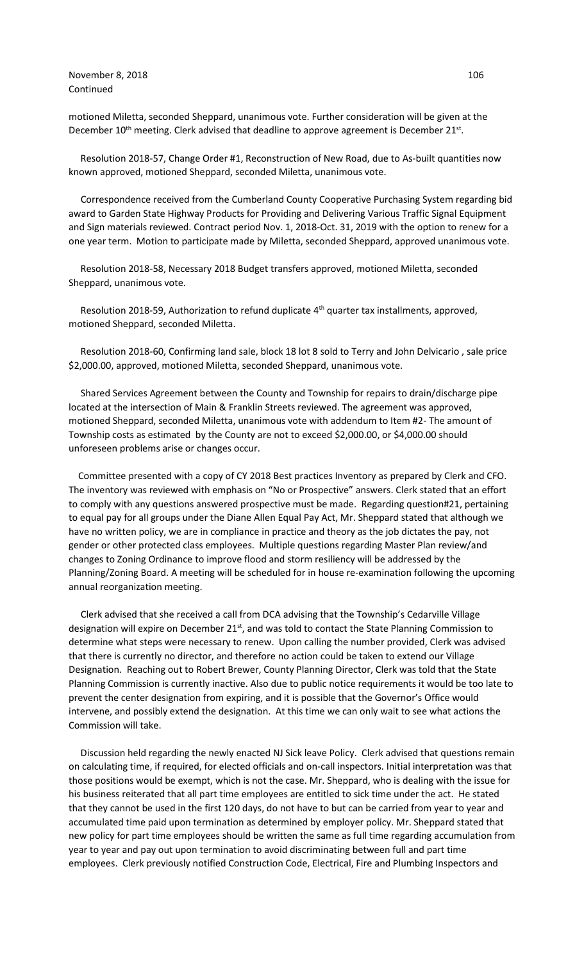November 8, 2018 106 Continued

motioned Miletta, seconded Sheppard, unanimous vote. Further consideration will be given at the December 10<sup>th</sup> meeting. Clerk advised that deadline to approve agreement is December 21<sup>st</sup>.

 Resolution 2018-57, Change Order #1, Reconstruction of New Road, due to As-built quantities now known approved, motioned Sheppard, seconded Miletta, unanimous vote.

 Correspondence received from the Cumberland County Cooperative Purchasing System regarding bid award to Garden State Highway Products for Providing and Delivering Various Traffic Signal Equipment and Sign materials reviewed. Contract period Nov. 1, 2018-Oct. 31, 2019 with the option to renew for a one year term. Motion to participate made by Miletta, seconded Sheppard, approved unanimous vote.

 Resolution 2018-58, Necessary 2018 Budget transfers approved, motioned Miletta, seconded Sheppard, unanimous vote.

Resolution 2018-59, Authorization to refund duplicate 4<sup>th</sup> quarter tax installments, approved, motioned Sheppard, seconded Miletta.

 Resolution 2018-60, Confirming land sale, block 18 lot 8 sold to Terry and John Delvicario , sale price \$2,000.00, approved, motioned Miletta, seconded Sheppard, unanimous vote.

 Shared Services Agreement between the County and Township for repairs to drain/discharge pipe located at the intersection of Main & Franklin Streets reviewed. The agreement was approved, motioned Sheppard, seconded Miletta, unanimous vote with addendum to Item #2- The amount of Township costs as estimated by the County are not to exceed \$2,000.00, or \$4,000.00 should unforeseen problems arise or changes occur.

 Committee presented with a copy of CY 2018 Best practices Inventory as prepared by Clerk and CFO. The inventory was reviewed with emphasis on "No or Prospective" answers. Clerk stated that an effort to comply with any questions answered prospective must be made. Regarding question#21, pertaining to equal pay for all groups under the Diane Allen Equal Pay Act, Mr. Sheppard stated that although we have no written policy, we are in compliance in practice and theory as the job dictates the pay, not gender or other protected class employees. Multiple questions regarding Master Plan review/and changes to Zoning Ordinance to improve flood and storm resiliency will be addressed by the Planning/Zoning Board. A meeting will be scheduled for in house re-examination following the upcoming annual reorganization meeting.

 Clerk advised that she received a call from DCA advising that the Township's Cedarville Village designation will expire on December 21<sup>st</sup>, and was told to contact the State Planning Commission to determine what steps were necessary to renew. Upon calling the number provided, Clerk was advised that there is currently no director, and therefore no action could be taken to extend our Village Designation. Reaching out to Robert Brewer, County Planning Director, Clerk was told that the State Planning Commission is currently inactive. Also due to public notice requirements it would be too late to prevent the center designation from expiring, and it is possible that the Governor's Office would intervene, and possibly extend the designation. At this time we can only wait to see what actions the Commission will take.

 Discussion held regarding the newly enacted NJ Sick leave Policy. Clerk advised that questions remain on calculating time, if required, for elected officials and on-call inspectors. Initial interpretation was that those positions would be exempt, which is not the case. Mr. Sheppard, who is dealing with the issue for his business reiterated that all part time employees are entitled to sick time under the act. He stated that they cannot be used in the first 120 days, do not have to but can be carried from year to year and accumulated time paid upon termination as determined by employer policy. Mr. Sheppard stated that new policy for part time employees should be written the same as full time regarding accumulation from year to year and pay out upon termination to avoid discriminating between full and part time employees. Clerk previously notified Construction Code, Electrical, Fire and Plumbing Inspectors and